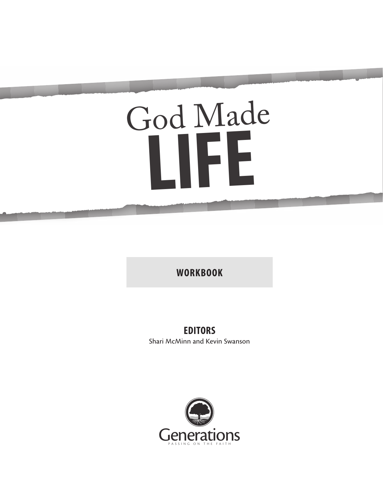# God Made **LIFE**

**WORKBOOK**

#### **EDITORS**

Shari McMinn and Kevin Swanson

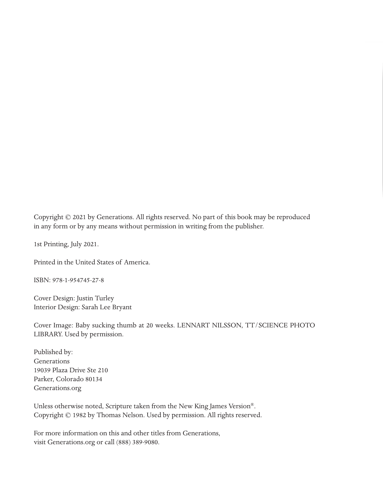Copyright © 2021 by Generations. All rights reserved. No part of this book may be reproduced in any form or by any means without permission in writing from the publisher.

1st Printing, July 2021.

Printed in the United States of America.

ISBN: 978-1-954745-27-8

Cover Design: Justin Turley Interior Design: Sarah Lee Bryant

Cover Image: Baby sucking thumb at 20 weeks. LENNART NILSSON, TT/SCIENCE PHOTO LIBRARY. Used by permission.

Published by: Generations 19039 Plaza Drive Ste 210 Parker, Colorado 80134 Generations.org

Unless otherwise noted, Scripture taken from the New King James Version®. Copyright © 1982 by Thomas Nelson. Used by permission. All rights reserved.

For more information on this and other titles from Generations, visit Generations.org or call (888) 389-9080.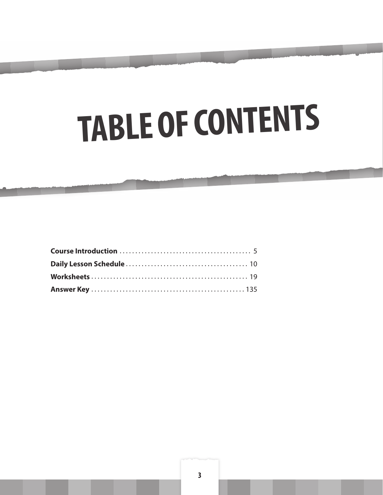# TABLE OF CONTENTS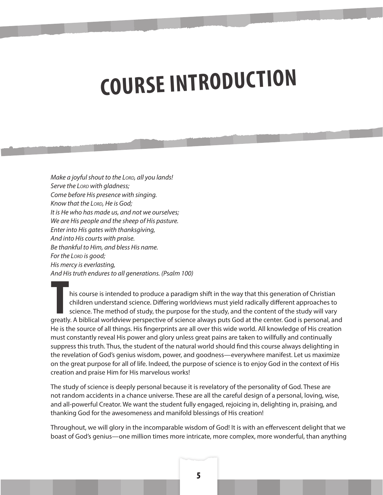## **COURSE INTRODUCTION**

*Make a joyful shout to the LORD, all you lands! Serve the Lord with gladness; Come before His presence with singing. Know that the Lord, He is God; It is He who has made us, and not we ourselves; We are His people and the sheep of His pasture. Enter into His gates with thanksgiving, And into His courts with praise. Be thankful to Him, and bless His name. For the Lord is good*; *His mercy is everlasting, And His truth endures to all generations. (Psalm 100)*

This course is intended to produce a paradigm shift in the way that this generation of Christian<br>
children understand science. Differing worldviews must yield radically different approaches to<br>
science. The method of study children understand science. Differing worldviews must yield radically different approaches to science. The method of study, the purpose for the study, and the content of the study will vary greatly. A biblical worldview perspective of science always puts God at the center. God is personal, and He is the source of all things. His fingerprints are all over this wide world. All knowledge of His creation must constantly reveal His power and glory unless great pains are taken to willfully and continually suppress this truth. Thus, the student of the natural world should find this course always delighting in the revelation of God's genius wisdom, power, and goodness—everywhere manifest. Let us maximize on the great purpose for all of life. Indeed, the purpose of science is to enjoy God in the context of His creation and praise Him for His marvelous works!

The study of science is deeply personal because it is revelatory of the personality of God. These are not random accidents in a chance universe. These are all the careful design of a personal, loving, wise, and all-powerful Creator. We want the student fully engaged, rejoicing in, delighting in, praising, and thanking God for the awesomeness and manifold blessings of His creation!

Throughout, we will glory in the incomparable wisdom of God! It is with an effervescent delight that we boast of God's genius—one million times more intricate, more complex, more wonderful, than anything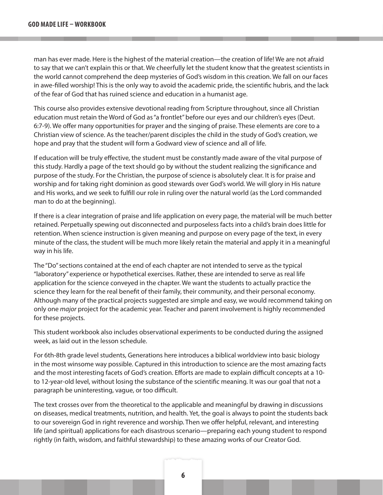man has ever made. Here is the highest of the material creation—the creation of life! We are not afraid to say that we can't explain this or that. We cheerfully let the student know that the greatest scientists in the world cannot comprehend the deep mysteries of God's wisdom in this creation. We fall on our faces in awe-filled worship! This is the only way to avoid the academic pride, the scientific hubris, and the lack of the fear of God that has ruined science and education in a humanist age.

This course also provides extensive devotional reading from Scripture throughout, since all Christian education must retain the Word of God as "a frontlet" before our eyes and our children's eyes (Deut. 6:7-9). We offer many opportunities for prayer and the singing of praise. These elements are core to a Christian view of science. As the teacher/parent disciples the child in the study of God's creation, we hope and pray that the student will form a Godward view of science and all of life.

If education will be truly effective, the student must be constantly made aware of the vital purpose of this study. Hardly a page of the text should go by without the student realizing the significance and purpose of the study. For the Christian, the purpose of science is absolutely clear. It is for praise and worship and for taking right dominion as good stewards over God's world. We will glory in His nature and His works, and we seek to fulfill our role in ruling over the natural world (as the Lord commanded man to do at the beginning).

If there is a clear integration of praise and life application on every page, the material will be much better retained. Perpetually spewing out disconnected and purposeless facts into a child's brain does little for retention. When science instruction is given meaning and purpose on every page of the text, in every minute of the class, the student will be much more likely retain the material and apply it in a meaningful way in his life.

The "Do" sections contained at the end of each chapter are not intended to serve as the typical "laboratory" experience or hypothetical exercises. Rather, these are intended to serve as real life application for the science conveyed in the chapter. We want the students to actually practice the science they learn for the real benefit of their family, their community, and their personal economy. Although many of the practical projects suggested are simple and easy, we would recommend taking on only one *major* project for the academic year. Teacher and parent involvement is highly recommended for these projects.

This student workbook also includes observational experiments to be conducted during the assigned week, as laid out in the lesson schedule.

For 6th-8th grade level students, Generations here introduces a biblical worldview into basic biology in the most winsome way possible. Captured in this introduction to science are the most amazing facts and the most interesting facets of God's creation. Efforts are made to explain difficult concepts at a 10 to 12-year-old level, without losing the substance of the scientific meaning. It was our goal that not a paragraph be uninteresting, vague, or too difficult.

The text crosses over from the theoretical to the applicable and meaningful by drawing in discussions on diseases, medical treatments, nutrition, and health. Yet, the goal is always to point the students back to our sovereign God in right reverence and worship. Then we offer helpful, relevant, and interesting life (and spiritual) applications for each disastrous scenario—preparing each young student to respond rightly (in faith, wisdom, and faithful stewardship) to these amazing works of our Creator God.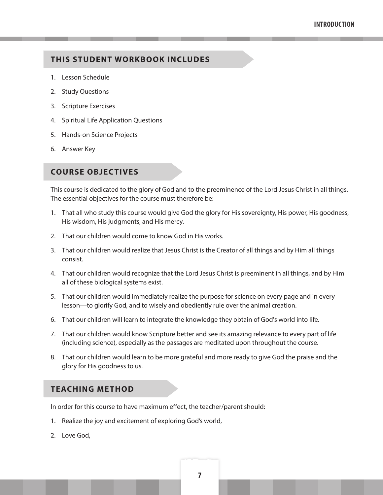#### **THIS STUDENT WORKBOOK INCLUDES**

- 1. Lesson Schedule
- 2. Study Questions
- 3. Scripture Exercises
- 4. Spiritual Life Application Questions
- 5. Hands-on Science Projects
- 6. Answer Key

#### **COURSE OBJECTIVES**

This course is dedicated to the glory of God and to the preeminence of the Lord Jesus Christ in all things. The essential objectives for the course must therefore be:

- 1. That all who study this course would give God the glory for His sovereignty, His power, His goodness, His wisdom, His judgments, and His mercy.
- 2. That our children would come to know God in His works.
- 3. That our children would realize that Jesus Christ is the Creator of all things and by Him all things consist.
- 4. That our children would recognize that the Lord Jesus Christ is preeminent in all things, and by Him all of these biological systems exist.
- 5. That our children would immediately realize the purpose for science on every page and in every lesson—to glorify God, and to wisely and obediently rule over the animal creation.
- 6. That our children will learn to integrate the knowledge they obtain of God's world into life.
- 7. That our children would know Scripture better and see its amazing relevance to every part of life (including science), especially as the passages are meditated upon throughout the course.
- 8. That our children would learn to be more grateful and more ready to give God the praise and the glory for His goodness to us.

#### **TEACHING METHOD**

In order for this course to have maximum effect, the teacher/parent should:

- 1. Realize the joy and excitement of exploring God's world,
- 2. Love God,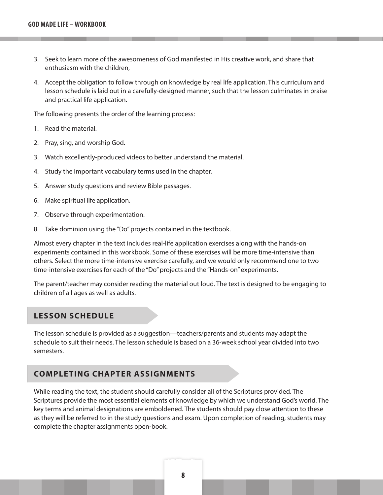- 3. Seek to learn more of the awesomeness of God manifested in His creative work, and share that enthusiasm with the children,
- 4. Accept the obligation to follow through on knowledge by real life application. This curriculum and lesson schedule is laid out in a carefully-designed manner, such that the lesson culminates in praise and practical life application.

The following presents the order of the learning process:

- 1. Read the material.
- 2. Pray, sing, and worship God.
- 3. Watch excellently-produced videos to better understand the material.
- 4. Study the important vocabulary terms used in the chapter.
- 5. Answer study questions and review Bible passages.
- 6. Make spiritual life application.
- 7. Observe through experimentation.
- 8. Take dominion using the "Do" projects contained in the textbook.

Almost every chapter in the text includes real-life application exercises along with the hands-on experiments contained in this workbook. Some of these exercises will be more time-intensive than others. Select the more time-intensive exercise carefully, and we would only recommend one to two time-intensive exercises for each of the "Do" projects and the "Hands-on" experiments.

The parent/teacher may consider reading the material out loud. The text is designed to be engaging to children of all ages as well as adults.

#### **LESSON SCHEDULE**

The lesson schedule is provided as a suggestion—teachers/parents and students may adapt the schedule to suit their needs. The lesson schedule is based on a 36-week school year divided into two semesters.

#### **COMPLETING CHAPTER ASSIGNMENTS**

While reading the text, the student should carefully consider all of the Scriptures provided. The Scriptures provide the most essential elements of knowledge by which we understand God's world. The key terms and animal designations are emboldened. The students should pay close attention to these as they will be referred to in the study questions and exam. Upon completion of reading, students may complete the chapter assignments open-book.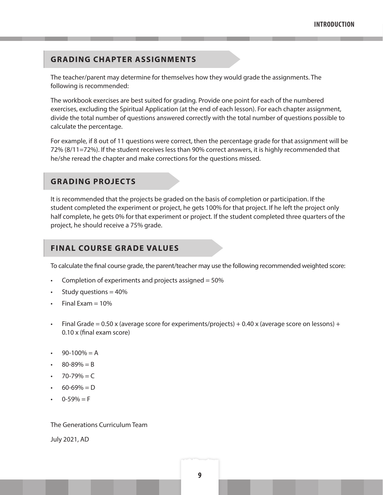#### **GRADING CHAPTER ASSIGNMENTS**

The teacher/parent may determine for themselves how they would grade the assignments. The following is recommended:

The workbook exercises are best suited for grading. Provide one point for each of the numbered exercises, excluding the Spiritual Application (at the end of each lesson). For each chapter assignment, divide the total number of questions answered correctly with the total number of questions possible to calculate the percentage.

For example, if 8 out of 11 questions were correct, then the percentage grade for that assignment will be 72% (8/11=72%). If the student receives less than 90% correct answers, it is highly recommended that he/she reread the chapter and make corrections for the questions missed.

#### **GRADING PROJECTS**

It is recommended that the projects be graded on the basis of completion or participation. If the student completed the experiment or project, he gets 100% for that project. If he left the project only half complete, he gets 0% for that experiment or project. If the student completed three quarters of the project, he should receive a 75% grade.

#### **FINAL COURSE GRADE VALUES**

To calculate the final course grade, the parent/teacher may use the following recommended weighted score:

- Completion of experiments and projects assigned = 50%
- Study questions  $= 40\%$
- Final Exam  $= 10%$
- Final Grade =  $0.50$  x (average score for experiments/projects) +  $0.40$  x (average score on lessons) + 0.10 x (final exam score)
- $90-100% = A$
- $80 89\% = B$
- $70 79\% = C$
- $60 69\% = D$
- $0-59\% = F$

The Generations Curriculum Team

July 2021, AD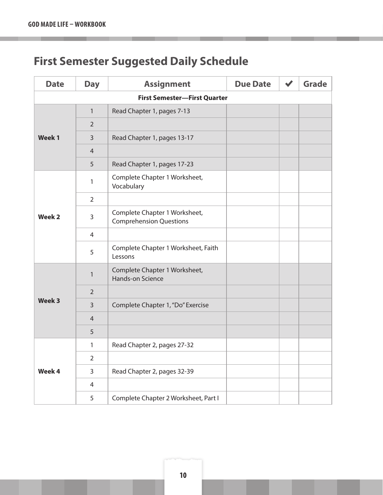### **First Semester Suggested Daily Schedule**

| <b>Date</b>   | <b>Day</b>     | <b>Assignment</b>                                               | <b>Due Date</b> | <b>Grade</b> |
|---------------|----------------|-----------------------------------------------------------------|-----------------|--------------|
|               |                | <b>First Semester-First Quarter</b>                             |                 |              |
|               | 1              | Read Chapter 1, pages 7-13                                      |                 |              |
|               | $\overline{2}$ |                                                                 |                 |              |
| Week 1        | 3              | Read Chapter 1, pages 13-17                                     |                 |              |
|               | $\overline{4}$ |                                                                 |                 |              |
|               | 5              | Read Chapter 1, pages 17-23                                     |                 |              |
|               | 1              | Complete Chapter 1 Worksheet,<br>Vocabulary                     |                 |              |
|               | $\overline{2}$ |                                                                 |                 |              |
| <b>Week 2</b> | 3              | Complete Chapter 1 Worksheet,<br><b>Comprehension Questions</b> |                 |              |
|               | 4              |                                                                 |                 |              |
|               | 5              | Complete Chapter 1 Worksheet, Faith<br>Lessons                  |                 |              |
|               | $\mathbf{1}$   | Complete Chapter 1 Worksheet,<br>Hands-on Science               |                 |              |
|               | $\overline{2}$ |                                                                 |                 |              |
| Week 3        | 3              | Complete Chapter 1, "Do" Exercise                               |                 |              |
|               | 4              |                                                                 |                 |              |
|               | 5              |                                                                 |                 |              |
|               | 1              | Read Chapter 2, pages 27-32                                     |                 |              |
|               | 2              |                                                                 |                 |              |
| Week 4        | $\mathsf{3}$   | Read Chapter 2, pages 32-39                                     |                 |              |
|               | 4              |                                                                 |                 |              |
|               | 5              | Complete Chapter 2 Worksheet, Part I                            |                 |              |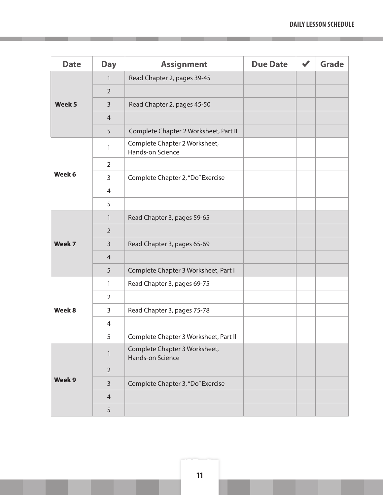| <b>Date</b>       | <b>Day</b>     | <b>Assignment</b>                                 | <b>Due Date</b> | <b>Grade</b> |
|-------------------|----------------|---------------------------------------------------|-----------------|--------------|
|                   | $\mathbf{1}$   | Read Chapter 2, pages 39-45                       |                 |              |
|                   | $\overline{2}$ |                                                   |                 |              |
| Week <sub>5</sub> | 3              | Read Chapter 2, pages 45-50                       |                 |              |
|                   | $\overline{4}$ |                                                   |                 |              |
|                   | 5              | Complete Chapter 2 Worksheet, Part II             |                 |              |
|                   | 1              | Complete Chapter 2 Worksheet,<br>Hands-on Science |                 |              |
|                   | $\overline{2}$ |                                                   |                 |              |
| Week 6            | 3              | Complete Chapter 2, "Do" Exercise                 |                 |              |
|                   | $\overline{4}$ |                                                   |                 |              |
|                   | 5              |                                                   |                 |              |
|                   | 1              | Read Chapter 3, pages 59-65                       |                 |              |
|                   | $\overline{2}$ |                                                   |                 |              |
| Week 7            | 3              | Read Chapter 3, pages 65-69                       |                 |              |
|                   | $\overline{4}$ |                                                   |                 |              |
|                   | 5              | Complete Chapter 3 Worksheet, Part I              |                 |              |
|                   | 1              | Read Chapter 3, pages 69-75                       |                 |              |
|                   | $\overline{2}$ |                                                   |                 |              |
| Week 8            | 3              | Read Chapter 3, pages 75-78                       |                 |              |
|                   | 4              |                                                   |                 |              |
|                   | 5              | Complete Chapter 3 Worksheet, Part II             |                 |              |
|                   | $\mathbf{1}$   | Complete Chapter 3 Worksheet,<br>Hands-on Science |                 |              |
|                   | $\overline{2}$ |                                                   |                 |              |
| Week 9            | $\mathsf{3}$   | Complete Chapter 3, "Do" Exercise                 |                 |              |
|                   | $\overline{4}$ |                                                   |                 |              |
|                   | 5              |                                                   |                 |              |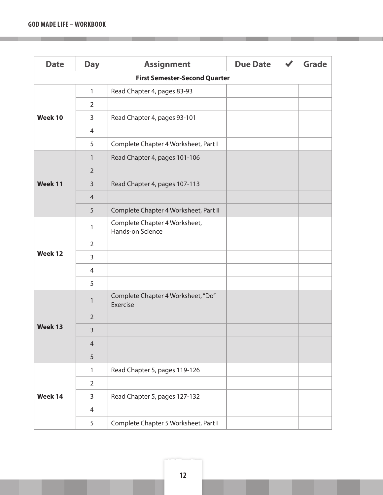| <b>Date</b> | <b>Day</b>     | <b>Assignment</b>                                 | <b>Due Date</b> | <b>Grade</b> |
|-------------|----------------|---------------------------------------------------|-----------------|--------------|
|             |                | <b>First Semester-Second Quarter</b>              |                 |              |
|             | 1              | Read Chapter 4, pages 83-93                       |                 |              |
|             | $\overline{2}$ |                                                   |                 |              |
| Week 10     | 3              | Read Chapter 4, pages 93-101                      |                 |              |
|             | 4              |                                                   |                 |              |
|             | 5              | Complete Chapter 4 Worksheet, Part I              |                 |              |
|             | 1              | Read Chapter 4, pages 101-106                     |                 |              |
|             | $\overline{2}$ |                                                   |                 |              |
| Week 11     | 3              | Read Chapter 4, pages 107-113                     |                 |              |
|             | $\overline{4}$ |                                                   |                 |              |
|             | 5              | Complete Chapter 4 Worksheet, Part II             |                 |              |
|             | 1              | Complete Chapter 4 Worksheet,<br>Hands-on Science |                 |              |
|             | $\overline{2}$ |                                                   |                 |              |
| Week 12     | 3              |                                                   |                 |              |
|             | 4              |                                                   |                 |              |
|             | 5              |                                                   |                 |              |
|             | 1              | Complete Chapter 4 Worksheet, "Do"<br>Exercise    |                 |              |
|             | $\overline{2}$ |                                                   |                 |              |
| Week 13     | $\overline{3}$ |                                                   |                 |              |
|             | $\overline{4}$ |                                                   |                 |              |
|             | 5              |                                                   |                 |              |
|             | $\mathbf{1}$   | Read Chapter 5, pages 119-126                     |                 |              |
|             | $\overline{2}$ |                                                   |                 |              |
| Week 14     | 3              | Read Chapter 5, pages 127-132                     |                 |              |
|             | 4              |                                                   |                 |              |
|             | 5              | Complete Chapter 5 Worksheet, Part I              |                 |              |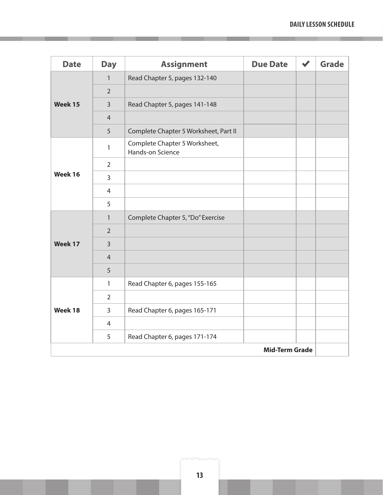| <b>Date</b> | <b>Day</b>            | <b>Assignment</b>                                 | <b>Due Date</b> |  | <b>Grade</b> |
|-------------|-----------------------|---------------------------------------------------|-----------------|--|--------------|
|             | $\mathbf{1}$          | Read Chapter 5, pages 132-140                     |                 |  |              |
|             | $\overline{2}$        |                                                   |                 |  |              |
| Week 15     | $\overline{3}$        | Read Chapter 5, pages 141-148                     |                 |  |              |
|             | $\overline{4}$        |                                                   |                 |  |              |
|             | 5                     | Complete Chapter 5 Worksheet, Part II             |                 |  |              |
|             | $\mathbf{1}$          | Complete Chapter 5 Worksheet,<br>Hands-on Science |                 |  |              |
|             | $\overline{2}$        |                                                   |                 |  |              |
| Week 16     | 3                     |                                                   |                 |  |              |
|             | $\overline{4}$        |                                                   |                 |  |              |
|             | 5                     |                                                   |                 |  |              |
|             | $\mathbf{1}$          | Complete Chapter 5, "Do" Exercise                 |                 |  |              |
|             | 2                     |                                                   |                 |  |              |
| Week 17     | $\overline{3}$        |                                                   |                 |  |              |
|             | $\overline{4}$        |                                                   |                 |  |              |
|             | 5                     |                                                   |                 |  |              |
|             | $\mathbf{1}$          | Read Chapter 6, pages 155-165                     |                 |  |              |
|             | $\overline{2}$        |                                                   |                 |  |              |
| Week 18     | $\overline{3}$        | Read Chapter 6, pages 165-171                     |                 |  |              |
|             | 4                     |                                                   |                 |  |              |
|             | 5                     | Read Chapter 6, pages 171-174                     |                 |  |              |
|             | <b>Mid-Term Grade</b> |                                                   |                 |  |              |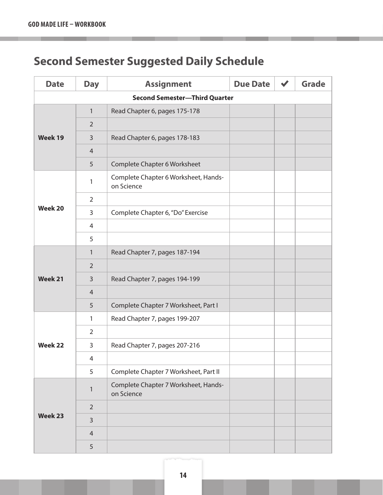### **Second Semester Suggested Daily Schedule**

| <b>Date</b>    | <b>Day</b>     | <b>Assignment</b>                                  | <b>Due Date</b> | <b>Grade</b> |
|----------------|----------------|----------------------------------------------------|-----------------|--------------|
|                |                | <b>Second Semester-Third Quarter</b>               |                 |              |
|                | 1              | Read Chapter 6, pages 175-178                      |                 |              |
|                | $\overline{2}$ |                                                    |                 |              |
| Week 19        | 3              | Read Chapter 6, pages 178-183                      |                 |              |
|                | $\overline{4}$ |                                                    |                 |              |
|                | 5              | Complete Chapter 6 Worksheet                       |                 |              |
|                | 1              | Complete Chapter 6 Worksheet, Hands-<br>on Science |                 |              |
|                | $\overline{2}$ |                                                    |                 |              |
| <b>Week 20</b> | 3              | Complete Chapter 6, "Do" Exercise                  |                 |              |
|                | $\overline{4}$ |                                                    |                 |              |
|                | 5              |                                                    |                 |              |
|                | 1              | Read Chapter 7, pages 187-194                      |                 |              |
|                | $\overline{2}$ |                                                    |                 |              |
| Week 21        | 3              | Read Chapter 7, pages 194-199                      |                 |              |
|                | $\overline{4}$ |                                                    |                 |              |
|                | 5              | Complete Chapter 7 Worksheet, Part I               |                 |              |
|                | $\mathbf{1}$   | Read Chapter 7, pages 199-207                      |                 |              |
|                | $\overline{2}$ |                                                    |                 |              |
| <b>Week 22</b> | 3              | Read Chapter 7, pages 207-216                      |                 |              |
|                | 4              |                                                    |                 |              |
|                | 5              | Complete Chapter 7 Worksheet, Part II              |                 |              |
|                | $\mathbf{1}$   | Complete Chapter 7 Worksheet, Hands-<br>on Science |                 |              |
|                | $\overline{2}$ |                                                    |                 |              |
| <b>Week 23</b> | $\overline{3}$ |                                                    |                 |              |
|                | $\overline{4}$ |                                                    |                 |              |
|                | 5              |                                                    |                 |              |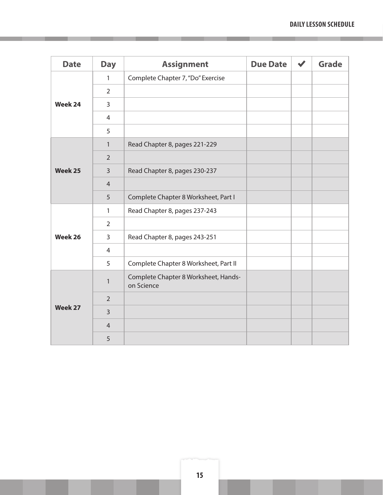| <b>Date</b> | <b>Day</b>     | <b>Assignment</b>                                  | <b>Due Date</b> | <b>Grade</b> |
|-------------|----------------|----------------------------------------------------|-----------------|--------------|
|             | $\mathbf{1}$   | Complete Chapter 7, "Do" Exercise                  |                 |              |
|             | $\overline{2}$ |                                                    |                 |              |
| Week 24     | 3              |                                                    |                 |              |
|             | $\overline{4}$ |                                                    |                 |              |
|             | 5              |                                                    |                 |              |
|             | $\mathbf{1}$   | Read Chapter 8, pages 221-229                      |                 |              |
|             | $\overline{2}$ |                                                    |                 |              |
| Week 25     | $\overline{3}$ | Read Chapter 8, pages 230-237                      |                 |              |
|             | $\overline{4}$ |                                                    |                 |              |
|             | 5              | Complete Chapter 8 Worksheet, Part I               |                 |              |
|             | $\mathbf{1}$   | Read Chapter 8, pages 237-243                      |                 |              |
|             | $\overline{2}$ |                                                    |                 |              |
| Week 26     | 3              | Read Chapter 8, pages 243-251                      |                 |              |
|             | $\overline{4}$ |                                                    |                 |              |
|             | 5              | Complete Chapter 8 Worksheet, Part II              |                 |              |
|             | $\mathbf{1}$   | Complete Chapter 8 Worksheet, Hands-<br>on Science |                 |              |
|             | $\overline{2}$ |                                                    |                 |              |
| Week 27     | $\overline{3}$ |                                                    |                 |              |
|             | $\overline{4}$ |                                                    |                 |              |
|             | 5              |                                                    |                 |              |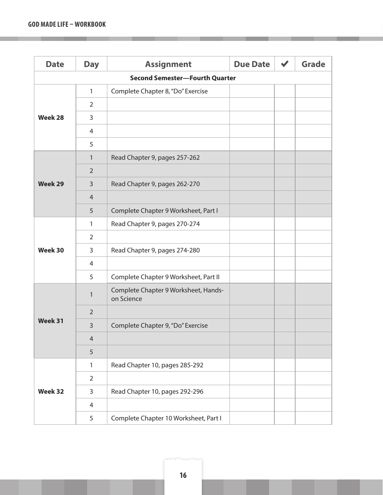| <b>Date</b>    | <b>Day</b>     | <b>Assignment</b>                                  | <b>Due Date</b> | <b>Grade</b> |
|----------------|----------------|----------------------------------------------------|-----------------|--------------|
|                |                | <b>Second Semester-Fourth Quarter</b>              |                 |              |
|                | 1              | Complete Chapter 8, "Do" Exercise                  |                 |              |
|                | $\overline{2}$ |                                                    |                 |              |
| Week 28        | 3              |                                                    |                 |              |
|                | 4              |                                                    |                 |              |
|                | 5              |                                                    |                 |              |
|                | $\mathbf{1}$   | Read Chapter 9, pages 257-262                      |                 |              |
|                | $\overline{2}$ |                                                    |                 |              |
| <b>Week 29</b> | 3              | Read Chapter 9, pages 262-270                      |                 |              |
|                | 4              |                                                    |                 |              |
|                | 5              | Complete Chapter 9 Worksheet, Part I               |                 |              |
|                | $\mathbf{1}$   | Read Chapter 9, pages 270-274                      |                 |              |
|                | $\overline{2}$ |                                                    |                 |              |
| Week 30        | 3              | Read Chapter 9, pages 274-280                      |                 |              |
|                | $\overline{4}$ |                                                    |                 |              |
|                | 5              | Complete Chapter 9 Worksheet, Part II              |                 |              |
|                | 1              | Complete Chapter 9 Worksheet, Hands-<br>on Science |                 |              |
|                | $\overline{2}$ |                                                    |                 |              |
| Week 31        | 3              | Complete Chapter 9, "Do" Exercise                  |                 |              |
|                | 4              |                                                    |                 |              |
|                | $\sqrt{5}$     |                                                    |                 |              |
|                | 1              | Read Chapter 10, pages 285-292                     |                 |              |
|                | $\overline{2}$ |                                                    |                 |              |
| Week 32        | 3              | Read Chapter 10, pages 292-296                     |                 |              |
|                | 4              |                                                    |                 |              |
|                | 5              | Complete Chapter 10 Worksheet, Part I              |                 |              |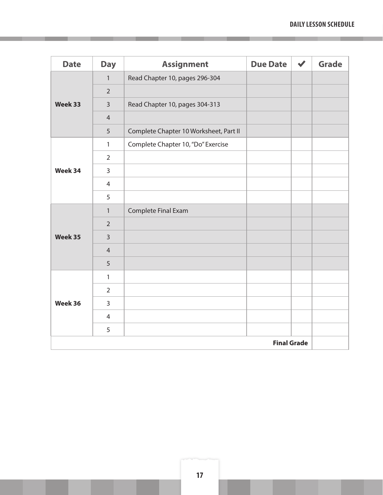| <b>Date</b>        | <b>Day</b>     | <b>Assignment</b>                      | <b>Due Date</b> | $\blacktriangledown$ | <b>Grade</b> |
|--------------------|----------------|----------------------------------------|-----------------|----------------------|--------------|
|                    | $\mathbf{1}$   | Read Chapter 10, pages 296-304         |                 |                      |              |
|                    | $\overline{2}$ |                                        |                 |                      |              |
| Week 33            | $\overline{3}$ | Read Chapter 10, pages 304-313         |                 |                      |              |
|                    | $\overline{4}$ |                                        |                 |                      |              |
|                    | 5              | Complete Chapter 10 Worksheet, Part II |                 |                      |              |
|                    | $\mathbf{1}$   | Complete Chapter 10, "Do" Exercise     |                 |                      |              |
|                    | $\overline{2}$ |                                        |                 |                      |              |
| Week 34            | $\overline{3}$ |                                        |                 |                      |              |
|                    | $\overline{4}$ |                                        |                 |                      |              |
|                    | 5              |                                        |                 |                      |              |
|                    | $\mathbf{1}$   | Complete Final Exam                    |                 |                      |              |
|                    | $\overline{2}$ |                                        |                 |                      |              |
| Week 35            | $\overline{3}$ |                                        |                 |                      |              |
|                    | $\overline{4}$ |                                        |                 |                      |              |
|                    | 5              |                                        |                 |                      |              |
|                    | $\mathbf{1}$   |                                        |                 |                      |              |
|                    | $\overline{2}$ |                                        |                 |                      |              |
| Week 36            | $\overline{3}$ |                                        |                 |                      |              |
|                    | $\overline{4}$ |                                        |                 |                      |              |
|                    | 5              |                                        |                 |                      |              |
| <b>Final Grade</b> |                |                                        |                 |                      |              |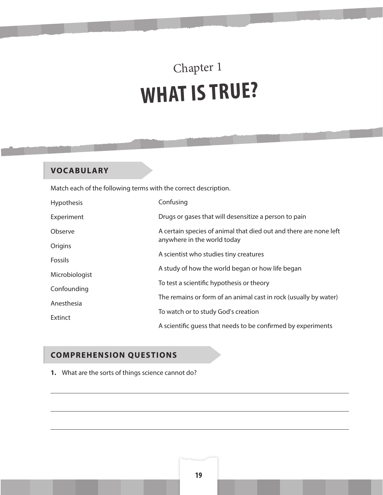## Chapter 1 **WHAT IS TRUE?**

#### **VOCABULARY**

Match each of the following terms with the correct description.

| <b>Hypothesis</b> | Confusing                                                                                        |  |  |
|-------------------|--------------------------------------------------------------------------------------------------|--|--|
| Experiment        | Drugs or gases that will desensitize a person to pain                                            |  |  |
| Observe           | A certain species of animal that died out and there are none left<br>anywhere in the world today |  |  |
| Origins           | A scientist who studies tiny creatures                                                           |  |  |
| <b>Fossils</b>    | A study of how the world began or how life began                                                 |  |  |
| Microbiologist    | To test a scientific hypothesis or theory                                                        |  |  |
| Confounding       | The remains or form of an animal cast in rock (usually by water)                                 |  |  |
| Anesthesia        | To watch or to study God's creation                                                              |  |  |
| Extinct           | A scientific quess that needs to be confirmed by experiments                                     |  |  |

#### **COMPREHENSION QUESTIONS**

**1.** What are the sorts of things science cannot do?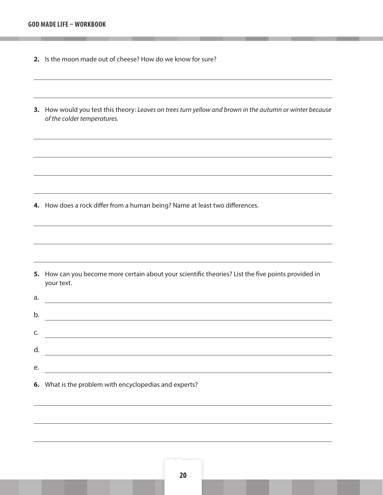- **2.** Is the moon made out of cheese? How do we know for sure?
- **3.** How would you test this theory: *Leaves on trees turn yellow and brown in the autumn or winter because of the colder temperatures.*

**4.** How does a rock differ from a human being? Name at least two differences.

**5.** How can you become more certain about your scientific theories? List the five points provided in your text.

| a. |  |
|----|--|
| b. |  |
| C. |  |
| d. |  |
| е. |  |
|    |  |

**6.** What is the problem with encyclopedias and experts?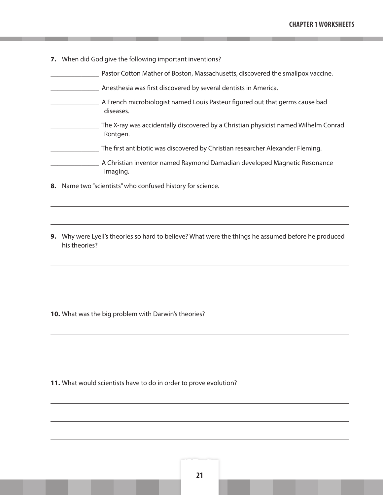- **7.** When did God give the following important inventions?
	- **Number 20 Ferror** Pastor Cotton Mather of Boston, Massachusetts, discovered the smallpox vaccine.
- \_\_\_\_\_\_\_\_\_\_\_\_\_\_ Anesthesia was first discovered by several dentists in America.
- \_\_\_\_\_\_\_\_\_\_\_\_\_\_ A French microbiologist named Louis Pasteur figured out that germs cause bad diseases.
- \_\_\_\_\_\_\_\_\_\_\_\_\_\_ The X-ray was accidentally discovered by a Christian physicist named Wilhelm Conrad RÖntgen.
- \_\_\_\_\_\_\_\_\_\_\_\_\_\_ The first antibiotic was discovered by Christian researcher Alexander Fleming.
	- \_\_\_\_\_\_\_\_\_\_\_\_\_\_ A Christian inventor named Raymond Damadian developed Magnetic Resonance Imaging.
- **8.** Name two "scientists" who confused history for science.
- **9.** Why were Lyell's theories so hard to believe? What were the things he assumed before he produced his theories?

**10.** What was the big problem with Darwin's theories?

**11.** What would scientists have to do in order to prove evolution?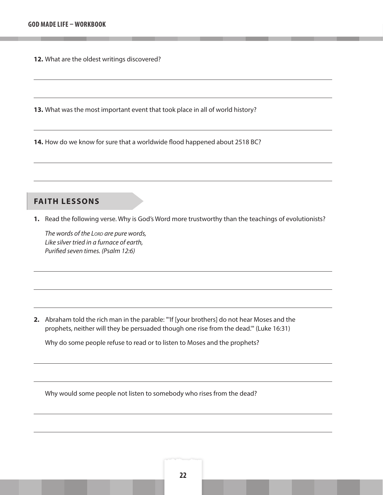**12.** What are the oldest writings discovered?

**13.** What was the most important event that took place in all of world history?

**14.** How do we know for sure that a worldwide flood happened about 2518 BC?

#### **FAITH LESSONS**

**1.** Read the following verse. Why is God's Word more trustworthy than the teachings of evolutionists?

*The words of the Lord are pure words, Like silver tried in a furnace of earth, Purified seven times. (Psalm 12:6)* 

**2.** Abraham told the rich man in the parable: "'If [your brothers] do not hear Moses and the prophets, neither will they be persuaded though one rise from the dead.'" (Luke 16:31)

Why do some people refuse to read or to listen to Moses and the prophets?

Why would some people not listen to somebody who rises from the dead?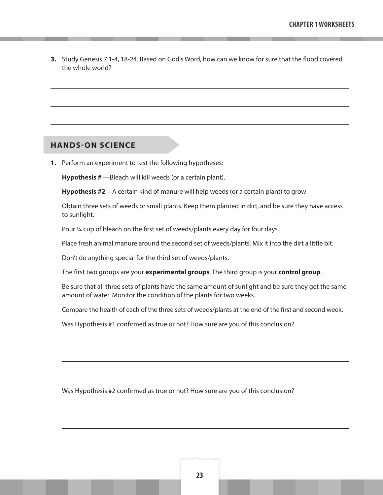**3.** Study Genesis 7:1-4, 18-24. Based on God's Word, how can we know for sure that the flood covered the whole world?

#### **HANDS-ON SCIENCE**

**1.** Perform an experiment to test the following hypotheses:

**Hypothesis #** —Bleach will kill weeds (or a certain plant).

**Hypothesis #2**—A certain kind of manure will help weeds (or a certain plant) to grow

Obtain three sets of weeds or small plants. Keep them planted in dirt, and be sure they have access to sunlight.

Pour ¼ cup of bleach on the first set of weeds/plants every day for four days.

Place fresh animal manure around the second set of weeds/plants. Mix it into the dirt a little bit.

Don't do anything special for the third set of weeds/plants.

The first two groups are your **experimental groups**. The third group is your **control group**.

Be sure that all three sets of plants have the same amount of sunlight and be sure they get the same amount of water. Monitor the condition of the plants for two weeks.

Compare the health of each of the three sets of weeds/plants at the end of the first and second week.

Was Hypothesis #1 confirmed as true or not? How sure are you of this conclusion?

Was Hypothesis #2 confirmed as true or not? How sure are you of this conclusion?